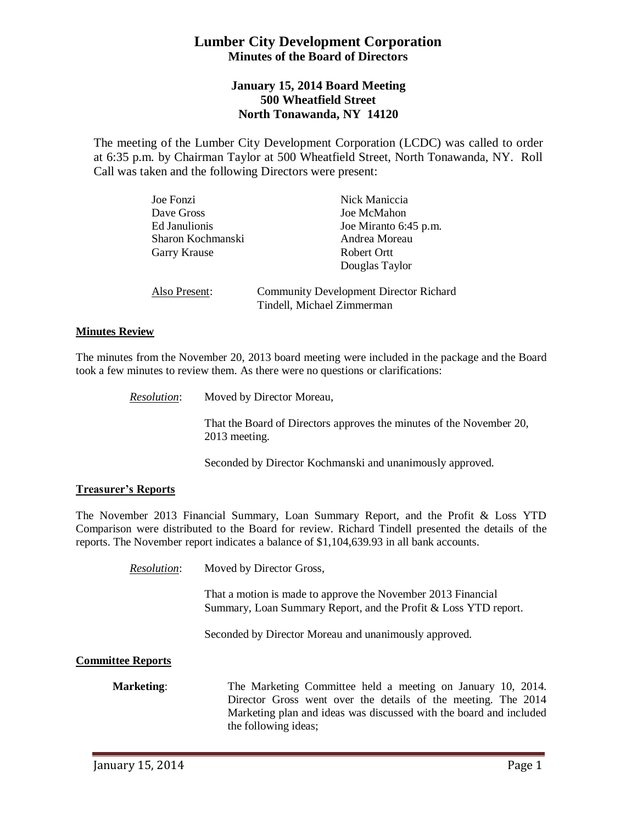# **Lumber City Development Corporation Minutes of the Board of Directors**

## **January 15, 2014 Board Meeting 500 Wheatfield Street North Tonawanda, NY 14120**

The meeting of the Lumber City Development Corporation (LCDC) was called to order at 6:35 p.m. by Chairman Taylor at 500 Wheatfield Street, North Tonawanda, NY. Roll Call was taken and the following Directors were present:

| Joe Fonzi         | Nick Maniccia                                                               |
|-------------------|-----------------------------------------------------------------------------|
| Dave Gross        | Joe McMahon                                                                 |
| Ed Janulionis     | Joe Miranto 6:45 p.m.                                                       |
| Sharon Kochmanski | Andrea Moreau                                                               |
| Garry Krause      | Robert Ortt                                                                 |
|                   | Douglas Taylor                                                              |
| Also Present:     | <b>Community Development Director Richard</b><br>Tindell, Michael Zimmerman |

### **Minutes Review**

The minutes from the November 20, 2013 board meeting were included in the package and the Board took a few minutes to review them. As there were no questions or clarifications:

*Resolution*: Moved by Director Moreau,

That the Board of Directors approves the minutes of the November 20, 2013 meeting.

Seconded by Director Kochmanski and unanimously approved.

#### **Treasurer's Reports**

The November 2013 Financial Summary, Loan Summary Report, and the Profit & Loss YTD Comparison were distributed to the Board for review. Richard Tindell presented the details of the reports. The November report indicates a balance of \$1,104,639.93 in all bank accounts.

*Resolution*: Moved by Director Gross,

That a motion is made to approve the November 2013 Financial Summary, Loan Summary Report, and the Profit & Loss YTD report.

Seconded by Director Moreau and unanimously approved.

#### **Committee Reports**

**Marketing**: The Marketing Committee held a meeting on January 10, 2014. Director Gross went over the details of the meeting. The 2014 Marketing plan and ideas was discussed with the board and included the following ideas;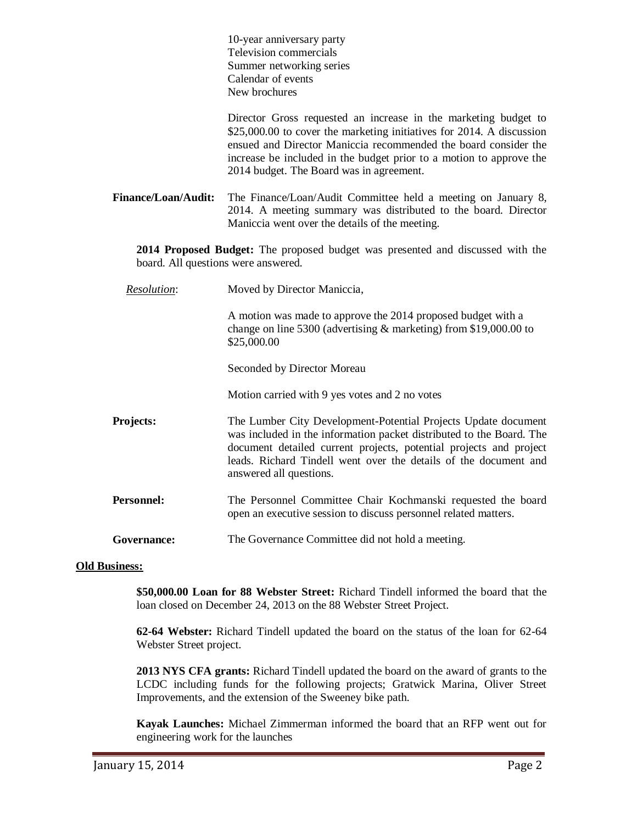|                                                                                                                       | 10-year anniversary party<br>Television commercials<br>Summer networking series<br>Calendar of events<br>New brochures                                                                                                                                                                                                         |
|-----------------------------------------------------------------------------------------------------------------------|--------------------------------------------------------------------------------------------------------------------------------------------------------------------------------------------------------------------------------------------------------------------------------------------------------------------------------|
|                                                                                                                       | Director Gross requested an increase in the marketing budget to<br>\$25,000.00 to cover the marketing initiatives for 2014. A discussion<br>ensued and Director Maniccia recommended the board consider the<br>increase be included in the budget prior to a motion to approve the<br>2014 budget. The Board was in agreement. |
| <b>Finance/Loan/Audit:</b>                                                                                            | The Finance/Loan/Audit Committee held a meeting on January 8,<br>2014. A meeting summary was distributed to the board. Director<br>Maniccia went over the details of the meeting.                                                                                                                                              |
| 2014 Proposed Budget: The proposed budget was presented and discussed with the<br>board. All questions were answered. |                                                                                                                                                                                                                                                                                                                                |
| <b>Resolution:</b>                                                                                                    | Moved by Director Maniccia,                                                                                                                                                                                                                                                                                                    |
|                                                                                                                       | A motion was made to approve the 2014 proposed budget with a<br>change on line 5300 (advertising $\&$ marketing) from \$19,000.00 to<br>\$25,000.00                                                                                                                                                                            |
|                                                                                                                       | Seconded by Director Moreau                                                                                                                                                                                                                                                                                                    |
|                                                                                                                       | Motion carried with 9 yes votes and 2 no votes                                                                                                                                                                                                                                                                                 |
| Projects:                                                                                                             | The Lumber City Development-Potential Projects Update document<br>was included in the information packet distributed to the Board. The<br>document detailed current projects, potential projects and project<br>leads. Richard Tindell went over the details of the document and<br>answered all questions.                    |
| <b>Personnel:</b>                                                                                                     | The Personnel Committee Chair Kochmanski requested the board<br>open an executive session to discuss personnel related matters.                                                                                                                                                                                                |
| Governance:                                                                                                           | The Governance Committee did not hold a meeting.                                                                                                                                                                                                                                                                               |

#### **Old Business:**

**\$50,000.00 Loan for 88 Webster Street:** Richard Tindell informed the board that the loan closed on December 24, 2013 on the 88 Webster Street Project.

**62-64 Webster:** Richard Tindell updated the board on the status of the loan for 62-64 Webster Street project.

**2013 NYS CFA grants:** Richard Tindell updated the board on the award of grants to the LCDC including funds for the following projects; Gratwick Marina, Oliver Street Improvements, and the extension of the Sweeney bike path.

**Kayak Launches:** Michael Zimmerman informed the board that an RFP went out for engineering work for the launches